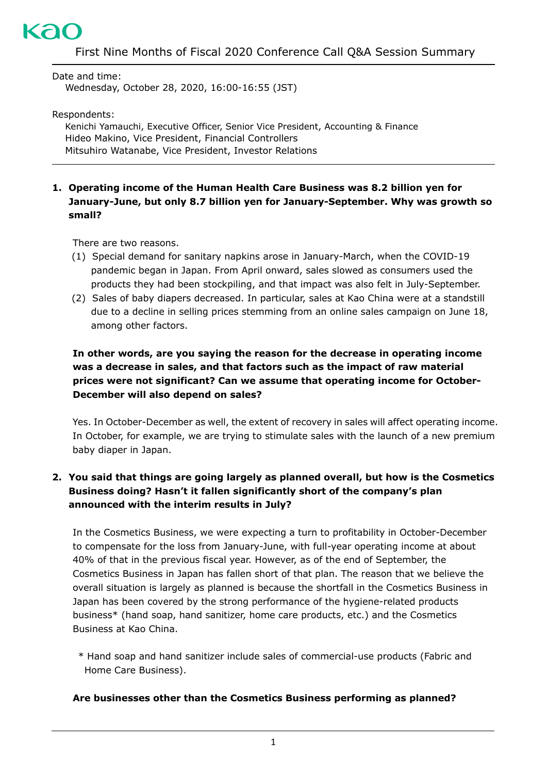

Date and time: Wednesday, October 28, 2020, 16:00-16:55 (JST)

Respondents:

Kenichi Yamauchi, Executive Officer, Senior Vice President, Accounting & Finance Hideo Makino, Vice President, Financial Controllers Mitsuhiro Watanabe, Vice President, Investor Relations

#### **1. Operating income of the Human Health Care Business was 8.2 billion yen for January-June, but only 8.7 billion yen for January-September. Why was growth so small?**

There are two reasons.

- (1) Special demand for sanitary napkins arose in January-March, when the COVID-19 pandemic began in Japan. From April onward, sales slowed as consumers used the products they had been stockpiling, and that impact was also felt in July-September.
- (2) Sales of baby diapers decreased. In particular, sales at Kao China were at a standstill due to a decline in selling prices stemming from an online sales campaign on June 18, among other factors.

## **In other words, are you saying the reason for the decrease in operating income was a decrease in sales, and that factors such as the impact of raw material prices were not significant? Can we assume that operating income for October-December will also depend on sales?**

Yes. In October-December as well, the extent of recovery in sales will affect operating income. In October, for example, we are trying to stimulate sales with the launch of a new premium baby diaper in Japan.

## **2. You said that things are going largely as planned overall, but how is the Cosmetics Business doing? Hasn't it fallen significantly short of the company's plan announced with the interim results in July?**

In the Cosmetics Business, we were expecting a turn to profitability in October-December to compensate for the loss from January-June, with full-year operating income at about 40% of that in the previous fiscal year. However, as of the end of September, the Cosmetics Business in Japan has fallen short of that plan. The reason that we believe the overall situation is largely as planned is because the shortfall in the Cosmetics Business in Japan has been covered by the strong performance of the hygiene-related products business\* (hand soap, hand sanitizer, home care products, etc.) and the Cosmetics Business at Kao China.

\* Hand soap and hand sanitizer include sales of commercial-use products (Fabric and Home Care Business).

#### **Are businesses other than the Cosmetics Business performing as planned?**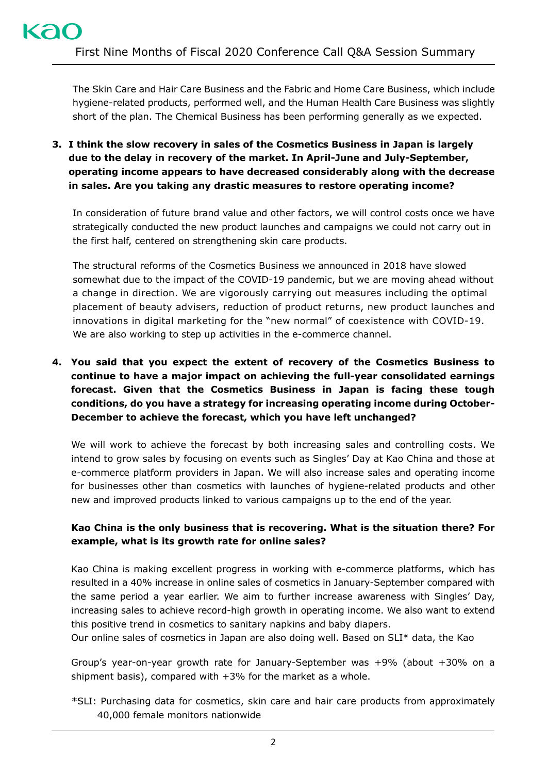The Skin Care and Hair Care Business and the Fabric and Home Care Business, which include hygiene-related products, performed well, and the Human Health Care Business was slightly short of the plan. The Chemical Business has been performing generally as we expected.

**3. I think the slow recovery in sales of the Cosmetics Business in Japan is largely due to the delay in recovery of the market. In April-June and July-September, operating income appears to have decreased considerably along with the decrease in sales. Are you taking any drastic measures to restore operating income?** 

In consideration of future brand value and other factors, we will control costs once we have strategically conducted the new product launches and campaigns we could not carry out in the first half, centered on strengthening skin care products.

The structural reforms of the Cosmetics Business we announced in 2018 have slowed somewhat due to the impact of the COVID-19 pandemic, but we are moving ahead without a change in direction. We are vigorously carrying out measures including the optimal placement of beauty advisers, reduction of product returns, new product launches and innovations in digital marketing for the "new normal" of coexistence with COVID-19. We are also working to step up activities in the e-commerce channel.

**4. You said that you expect the extent of recovery of the Cosmetics Business to continue to have a major impact on achieving the full-year consolidated earnings forecast. Given that the Cosmetics Business in Japan is facing these tough conditions, do you have a strategy for increasing operating income during October-December to achieve the forecast, which you have left unchanged?** 

We will work to achieve the forecast by both increasing sales and controlling costs. We intend to grow sales by focusing on events such as Singles' Day at Kao China and those at e-commerce platform providers in Japan. We will also increase sales and operating income for businesses other than cosmetics with launches of hygiene-related products and other new and improved products linked to various campaigns up to the end of the year.

## **Kao China is the only business that is recovering. What is the situation there? For example, what is its growth rate for online sales?**

Kao China is making excellent progress in working with e-commerce platforms, which has resulted in a 40% increase in online sales of cosmetics in January-September compared with the same period a year earlier. We aim to further increase awareness with Singles' Day, increasing sales to achieve record-high growth in operating income. We also want to extend this positive trend in cosmetics to sanitary napkins and baby diapers.

Our online sales of cosmetics in Japan are also doing well. Based on SLI\* data, the Kao

Group's year-on-year growth rate for January-September was +9% (about +30% on a shipment basis), compared with  $+3\%$  for the market as a whole.

\*SLI: Purchasing data for cosmetics, skin care and hair care products from approximately 40,000 female monitors nationwide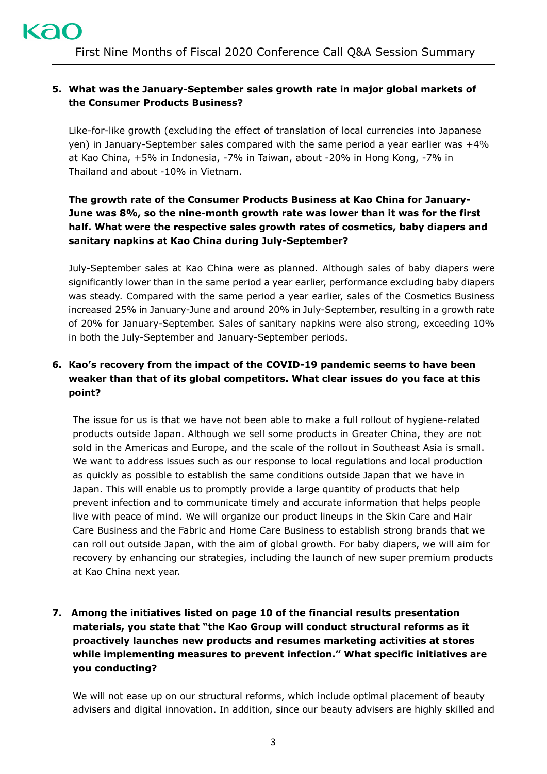#### **5. What was the January-September sales growth rate in major global markets of the Consumer Products Business?**

Like-for-like growth (excluding the effect of translation of local currencies into Japanese yen) in January-September sales compared with the same period a year earlier was +4% at Kao China, +5% in Indonesia, -7% in Taiwan, about -20% in Hong Kong, -7% in Thailand and about -10% in Vietnam.

## **The growth rate of the Consumer Products Business at Kao China for January-June was 8%, so the nine-month growth rate was lower than it was for the first half. What were the respective sales growth rates of cosmetics, baby diapers and sanitary napkins at Kao China during July-September?**

July-September sales at Kao China were as planned. Although sales of baby diapers were significantly lower than in the same period a year earlier, performance excluding baby diapers was steady. Compared with the same period a year earlier, sales of the Cosmetics Business increased 25% in January-June and around 20% in July-September, resulting in a growth rate of 20% for January-September. Sales of sanitary napkins were also strong, exceeding 10% in both the July-September and January-September periods.

# **6. Kao's recovery from the impact of the COVID-19 pandemic seems to have been weaker than that of its global competitors. What clear issues do you face at this point?**

The issue for us is that we have not been able to make a full rollout of hygiene-related products outside Japan. Although we sell some products in Greater China, they are not sold in the Americas and Europe, and the scale of the rollout in Southeast Asia is small. We want to address issues such as our response to local regulations and local production as quickly as possible to establish the same conditions outside Japan that we have in Japan. This will enable us to promptly provide a large quantity of products that help prevent infection and to communicate timely and accurate information that helps people live with peace of mind. We will organize our product lineups in the Skin Care and Hair Care Business and the Fabric and Home Care Business to establish strong brands that we can roll out outside Japan, with the aim of global growth. For baby diapers, we will aim for recovery by enhancing our strategies, including the launch of new super premium products at Kao China next year.

# **7. Among the initiatives listed on page 10 of the financial results presentation materials, you state that "the Kao Group will conduct structural reforms as it proactively launches new products and resumes marketing activities at stores while implementing measures to prevent infection." What specific initiatives are you conducting?**

We will not ease up on our structural reforms, which include optimal placement of beauty advisers and digital innovation. In addition, since our beauty advisers are highly skilled and